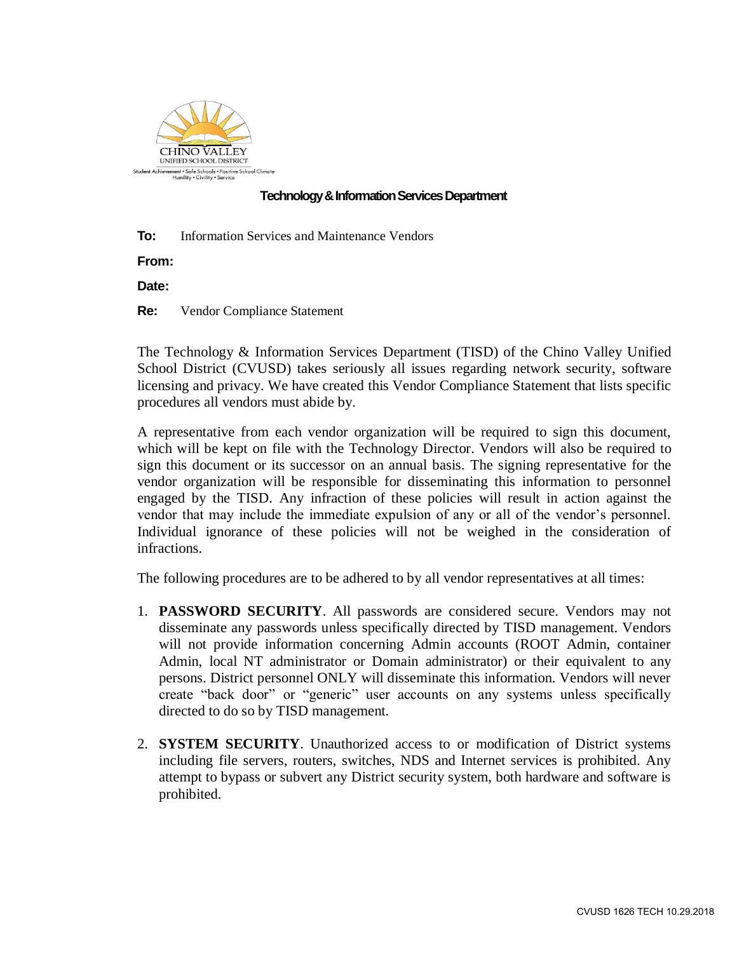

## **Technology & Information Services Department**

**To:** Information Services and Maintenance Vendors

**From:**

**Date:**

**Re:** Vendor Compliance Statement

The Technology & Information Services Department (TISD) of the Chino Valley Unified School District (CVUSD) takes seriously all issues regarding network security, software licensing and privacy. We have created this Vendor Compliance Statement that lists specific procedures all vendors must abide by.

A representative from each vendor organization will be required to sign this document, which will be kept on file with the Technology Director. Vendors will also be required to sign this document or its successor on an annual basis. The signing representative for the vendor organization will be responsible for disseminating this information to personnel engaged by the TISD. Any infraction of these policies will result in action against the vendor that may include the immediate expulsion of any or all of the vendor's personnel. Individual ignorance of these policies will not be weighed in the consideration of infractions.

The following procedures are to be adhered to by all vendor representatives at all times:

- 1. **PASSWORD SECURITY**. All passwords are considered secure. Vendors may not disseminate any passwords unless specifically directed by TISD management. Vendors will not provide information concerning Admin accounts (ROOT Admin, container Admin, local NT administrator or Domain administrator) or their equivalent to any persons. District personnel ONLY will disseminate this information. Vendors will never create "back door" or "generic" user accounts on any systems unless specifically directed to do so by TISD management.
- 2. **SYSTEM SECURITY**. Unauthorized access to or modification of District systems including file servers, routers, switches, NDS and Internet services is prohibited. Any attempt to bypass or subvert any District security system, both hardware and software is prohibited.